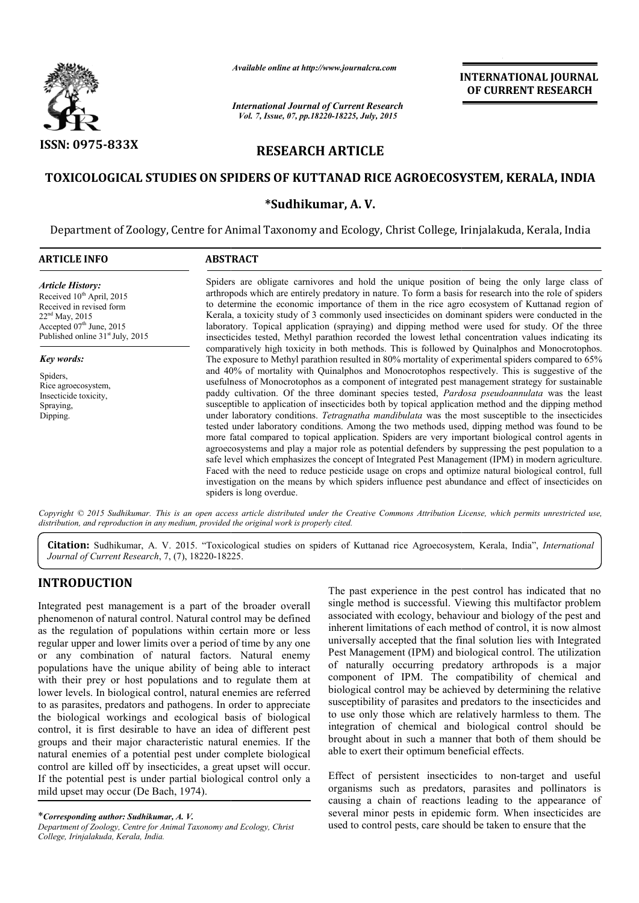

*Available online at http://www.journalcra.com*

# RESEARCH ARTICLE

# TOXICOLOGICAL STUDIES ON SPIDERS OF KUTTANAD RICE AGROECOSYSTEM, KERALA, INDIA

# \*Sudhikumar, A. V.

|                                                                                                                                                                                              | unuvic viime ui nup.//www.jvurnuicru.com                                                                                                                                                                                                                                                                                                                                                                                                                                                                                                                                                                                                                                                                                                                                                                                                                                                                                                  |                                                 |                                                                                                                                                                                                                                                                                                                                                                                                                                                                                                                                                                                                                                                                                                                                                                                                                                                                                                                                                                                                                                                                                                                                                                                                                                                                                                                                                               |
|----------------------------------------------------------------------------------------------------------------------------------------------------------------------------------------------|-------------------------------------------------------------------------------------------------------------------------------------------------------------------------------------------------------------------------------------------------------------------------------------------------------------------------------------------------------------------------------------------------------------------------------------------------------------------------------------------------------------------------------------------------------------------------------------------------------------------------------------------------------------------------------------------------------------------------------------------------------------------------------------------------------------------------------------------------------------------------------------------------------------------------------------------|-------------------------------------------------|---------------------------------------------------------------------------------------------------------------------------------------------------------------------------------------------------------------------------------------------------------------------------------------------------------------------------------------------------------------------------------------------------------------------------------------------------------------------------------------------------------------------------------------------------------------------------------------------------------------------------------------------------------------------------------------------------------------------------------------------------------------------------------------------------------------------------------------------------------------------------------------------------------------------------------------------------------------------------------------------------------------------------------------------------------------------------------------------------------------------------------------------------------------------------------------------------------------------------------------------------------------------------------------------------------------------------------------------------------------|
|                                                                                                                                                                                              | <b>International Journal of Current Research</b><br>Vol. 7, Issue, 07, pp.18220-18225, July, 2015                                                                                                                                                                                                                                                                                                                                                                                                                                                                                                                                                                                                                                                                                                                                                                                                                                         |                                                 |                                                                                                                                                                                                                                                                                                                                                                                                                                                                                                                                                                                                                                                                                                                                                                                                                                                                                                                                                                                                                                                                                                                                                                                                                                                                                                                                                               |
| ISSN: 0975-833X                                                                                                                                                                              |                                                                                                                                                                                                                                                                                                                                                                                                                                                                                                                                                                                                                                                                                                                                                                                                                                                                                                                                           | <b>RESEARCH ARTICLE</b>                         |                                                                                                                                                                                                                                                                                                                                                                                                                                                                                                                                                                                                                                                                                                                                                                                                                                                                                                                                                                                                                                                                                                                                                                                                                                                                                                                                                               |
|                                                                                                                                                                                              |                                                                                                                                                                                                                                                                                                                                                                                                                                                                                                                                                                                                                                                                                                                                                                                                                                                                                                                                           |                                                 | TOXICOLOGICAL STUDIES ON SPIDERS OF KUTTANAD RICE AGROECOSYSTEM, KERALA, INDIA                                                                                                                                                                                                                                                                                                                                                                                                                                                                                                                                                                                                                                                                                                                                                                                                                                                                                                                                                                                                                                                                                                                                                                                                                                                                                |
|                                                                                                                                                                                              |                                                                                                                                                                                                                                                                                                                                                                                                                                                                                                                                                                                                                                                                                                                                                                                                                                                                                                                                           | *Sudhikumar, A.V.                               |                                                                                                                                                                                                                                                                                                                                                                                                                                                                                                                                                                                                                                                                                                                                                                                                                                                                                                                                                                                                                                                                                                                                                                                                                                                                                                                                                               |
|                                                                                                                                                                                              | Department of Zoology, Centre for Animal Taxonomy and Ecology, Christ College, Irinjalakuda, Kerala, India                                                                                                                                                                                                                                                                                                                                                                                                                                                                                                                                                                                                                                                                                                                                                                                                                                |                                                 |                                                                                                                                                                                                                                                                                                                                                                                                                                                                                                                                                                                                                                                                                                                                                                                                                                                                                                                                                                                                                                                                                                                                                                                                                                                                                                                                                               |
| <b>ARTICLE INFO</b>                                                                                                                                                                          | <b>ABSTRACT</b>                                                                                                                                                                                                                                                                                                                                                                                                                                                                                                                                                                                                                                                                                                                                                                                                                                                                                                                           |                                                 |                                                                                                                                                                                                                                                                                                                                                                                                                                                                                                                                                                                                                                                                                                                                                                                                                                                                                                                                                                                                                                                                                                                                                                                                                                                                                                                                                               |
| <b>Article History:</b><br>Received 10 <sup>th</sup> April, 2015<br>Received in revised form<br>$22nd$ May, 2015<br>Accepted 07th June, 2015<br>Published online 31 <sup>st</sup> July, 2015 |                                                                                                                                                                                                                                                                                                                                                                                                                                                                                                                                                                                                                                                                                                                                                                                                                                                                                                                                           |                                                 | Spiders are obligate carnivores and hold the unique position of being the only large class of<br>arthropods which are entirely predatory in nature. To form a basis for research into the role of spiders<br>to determine the economic importance of them in the rice agro ecosystem of Kuttanad region of<br>Kerala, a toxicity study of 3 commonly used insecticides on dominant spiders were conducted in the<br>laboratory. Topical application (spraying) and dipping method were used for study. Of the three<br>insecticides tested, Methyl parathion recorded the lowest lethal concentration values indicating its                                                                                                                                                                                                                                                                                                                                                                                                                                                                                                                                                                                                                                                                                                                                   |
| <b>Key words:</b><br>Spiders,<br>Rice agroecosystem,<br>Insecticide toxicity,<br>Spraying,<br>Dipping.                                                                                       | spiders is long overdue.                                                                                                                                                                                                                                                                                                                                                                                                                                                                                                                                                                                                                                                                                                                                                                                                                                                                                                                  |                                                 | comparatively high toxicity in both methods. This is followed by Quinalphos and Monocrotophos.<br>The exposure to Methyl parathion resulted in 80% mortality of experimental spiders compared to 65%<br>and 40% of mortality with Quinalphos and Monocrotophos respectively. This is suggestive of the<br>usefulness of Monocrotophos as a component of integrated pest management strategy for sustainable<br>paddy cultivation. Of the three dominant species tested, Pardosa pseudoannulata was the least<br>susceptible to application of insecticides both by topical application method and the dipping method<br>under laboratory conditions. Tetragnatha mandibulata was the most susceptible to the insecticides<br>tested under laboratory conditions. Among the two methods used, dipping method was found to be<br>more fatal compared to topical application. Spiders are very important biological control agents in<br>agroecosystems and play a major role as potential defenders by suppressing the pest population to a<br>safe level which emphasizes the concept of Integrated Pest Management (IPM) in modern agriculture.<br>Faced with the need to reduce pesticide usage on crops and optimize natural biological control, full<br>investigation on the means by which spiders influence pest abundance and effect of insecticides on |
|                                                                                                                                                                                              | distribution, and reproduction in any medium, provided the original work is properly cited.                                                                                                                                                                                                                                                                                                                                                                                                                                                                                                                                                                                                                                                                                                                                                                                                                                               |                                                 | Copyright © 2015 Sudhikumar. This is an open access article distributed under the Creative Commons Attribution License, which permits unrestricted use,                                                                                                                                                                                                                                                                                                                                                                                                                                                                                                                                                                                                                                                                                                                                                                                                                                                                                                                                                                                                                                                                                                                                                                                                       |
| Journal of Current Research, 7, (7), 18220-18225.                                                                                                                                            |                                                                                                                                                                                                                                                                                                                                                                                                                                                                                                                                                                                                                                                                                                                                                                                                                                                                                                                                           |                                                 | Citation: Sudhikumar, A. V. 2015. "Toxicological studies on spiders of Kuttanad rice Agroecosystem, Kerala, India", International                                                                                                                                                                                                                                                                                                                                                                                                                                                                                                                                                                                                                                                                                                                                                                                                                                                                                                                                                                                                                                                                                                                                                                                                                             |
| <b>INTRODUCTION</b>                                                                                                                                                                          |                                                                                                                                                                                                                                                                                                                                                                                                                                                                                                                                                                                                                                                                                                                                                                                                                                                                                                                                           |                                                 | The past experience in the pest control has indicated that no                                                                                                                                                                                                                                                                                                                                                                                                                                                                                                                                                                                                                                                                                                                                                                                                                                                                                                                                                                                                                                                                                                                                                                                                                                                                                                 |
|                                                                                                                                                                                              | Integrated pest management is a part of the broader overall<br>phenomenon of natural control. Natural control may be defined<br>as the regulation of populations within certain more or less<br>regular upper and lower limits over a period of time by any one<br>or any combination of natural factors. Natural enemy<br>populations have the unique ability of being able to interact<br>with their prey or host populations and to regulate them at<br>lower levels. In biological control, natural enemies are referred<br>to as parasites, predators and pathogens. In order to appreciate<br>the biological workings and ecological basis of biological<br>control, it is first desirable to have an idea of different pest<br>groups and their major characteristic natural enemies. If the<br>natural enemies of a potential pest under complete biological<br>control are killed off by insecticides, a great upset will occur. | able to exert their optimum beneficial effects. | single method is successful. Viewing this multifactor problem<br>associated with ecology, behaviour and biology of the pest and<br>inherent limitations of each method of control, it is now almost<br>universally accepted that the final solution lies with Integrated<br>Pest Management (IPM) and biological control. The utilization<br>of naturally occurring predatory arthropods is a major<br>component of IPM. The compatibility of chemical and<br>biological control may be achieved by determining the relative<br>susceptibility of parasites and predators to the insecticides and<br>to use only those which are relatively harmless to them. The<br>integration of chemical and biological control should be<br>brought about in such a manner that both of them should be                                                                                                                                                                                                                                                                                                                                                                                                                                                                                                                                                                   |
| mild upset may occur (De Bach, 1974).<br>*Corresponding author: Sudhikumar, A.V.<br>Department of Zoology, Centre for Animal Taxonomy and Ecology, Christ                                    | If the potential pest is under partial biological control only a                                                                                                                                                                                                                                                                                                                                                                                                                                                                                                                                                                                                                                                                                                                                                                                                                                                                          |                                                 | Effect of persistent insecticides to non-target and useful<br>organisms such as predators, parasites and pollinators is<br>causing a chain of reactions leading to the appearance of<br>several minor pests in epidemic form. When insecticides are<br>used to control pests, care should be taken to ensure that the                                                                                                                                                                                                                                                                                                                                                                                                                                                                                                                                                                                                                                                                                                                                                                                                                                                                                                                                                                                                                                         |

# INTRODUCTION

\**Corresponding author: Sudhikumar, A. V. Department of Zoology, Centre for Animal Taxonomy and Ecology, Christ College, Irinjalakuda, Kerala, India.*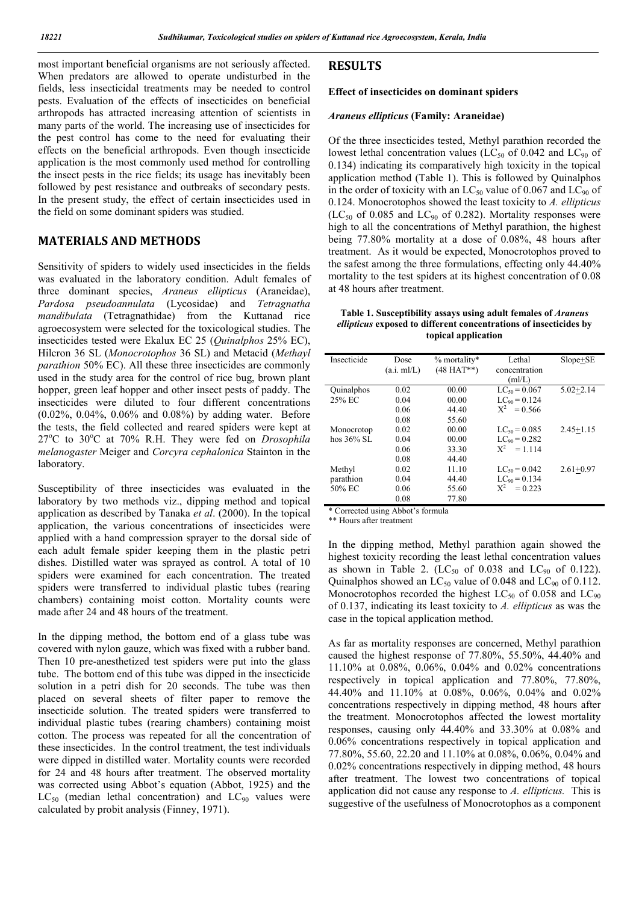most important beneficial organisms are not seriously affected. When predators are allowed to operate undisturbed in the fields, less insecticidal treatments may be needed to control pests. Evaluation of the effects of insecticides on beneficial arthropods has attracted increasing attention of scientists in many parts of the world. The increasing use of insecticides for the pest control has come to the need for evaluating their effects on the beneficial arthropods. Even though insecticide application is the most commonly used method for controlling the insect pests in the rice fields; its usage has inevitably been followed by pest resistance and outbreaks of secondary pests. In the present study, the effect of certain insecticides used in the field on some dominant spiders was studied.

# MATERIALS AND METHODS

Sensitivity of spiders to widely used insecticides in the fields was evaluated in the laboratory condition. Adult females of three dominant species, *Araneus ellipticus* (Araneidae), *Pardosa pseudoannulata* (Lycosidae) and *Tetragnatha mandibulata* (Tetragnathidae) from the Kuttanad rice agroecosystem were selected for the toxicological studies. The insecticides tested were Ekalux EC 25 (*Quinalphos* 25% EC), Hilcron 36 SL (*Monocrotophos* 36 SL) and Metacid (*Methayl parathion* 50% EC). All these three insecticides are commonly used in the study area for the control of rice bug, brown plant hopper, green leaf hopper and other insect pests of paddy. The insecticides were diluted to four different concentrations (0.02%, 0.04%, 0.06% and 0.08%) by adding water. Before the tests, the field collected and reared spiders were kept at 27°C to 30°C at 70% R.H. They were fed on *Drosophila melanogaster* Meiger and *Corcyra cephalonica* Stainton in the laboratory.

Susceptibility of three insecticides was evaluated in the laboratory by two methods viz., dipping method and topical application as described by Tanaka *et al*. (2000). In the topical application, the various concentrations of insecticides were applied with a hand compression sprayer to the dorsal side of each adult female spider keeping them in the plastic petri dishes. Distilled water was sprayed as control. A total of 10 spiders were examined for each concentration. The treated spiders were transferred to individual plastic tubes (rearing chambers) containing moist cotton. Mortality counts were made after 24 and 48 hours of the treatment.

In the dipping method, the bottom end of a glass tube was covered with nylon gauze, which was fixed with a rubber band. Then 10 pre-anesthetized test spiders were put into the glass tube. The bottom end of this tube was dipped in the insecticide solution in a petri dish for 20 seconds. The tube was then placed on several sheets of filter paper to remove the insecticide solution. The treated spiders were transferred to individual plastic tubes (rearing chambers) containing moist cotton. The process was repeated for all the concentration of these insecticides. In the control treatment, the test individuals were dipped in distilled water. Mortality counts were recorded for 24 and 48 hours after treatment. The observed mortality was corrected using Abbot's equation (Abbot, 1925) and the  $LC_{50}$  (median lethal concentration) and  $LC_{90}$  values were calculated by probit analysis (Finney, 1971).

# RESULTS

### Effect of insecticides on dominant spiders

#### *Araneus ellipticus* (Family: Araneidae)

Of the three insecticides tested, Methyl parathion recorded the lowest lethal concentration values (LC<sub>50</sub> of 0.042 and LC<sub>90</sub> of 0.134) indicating its comparatively high toxicity in the topical application method (Table 1). This is followed by Quinalphos in the order of toxicity with an  $LC_{50}$  value of 0.067 and  $LC_{90}$  of 0.124. Monocrotophos showed the least toxicity to *A. ellipticus*  $(LC_{50}$  of 0.085 and  $LC_{90}$  of 0.282). Mortality responses were high to all the concentrations of Methyl parathion, the highest being 77.80% mortality at a dose of 0.08%, 48 hours after treatment. As it would be expected, Monocrotophos proved to the safest among the three formulations, effecting only 44.40% mortality to the test spiders at its highest concentration of 0.08 at 48 hours after treatment.

Table 1. Susceptibility assays using adult females of *Araneus ellipticus* exposed to different concentrations of insecticides by topical application

| Insecticide   | Dose<br>(a.i. ml/L) | $%$ mortality*<br>$(48 HAT**)$ | Lethal<br>concentration | $Slope + SE$  |
|---------------|---------------------|--------------------------------|-------------------------|---------------|
|               |                     |                                | (mI/L)                  |               |
| Quinalphos    | 0.02                | 00.00                          | $LC_{50} = 0.067$       | $5.02 + 2.14$ |
| 25% EC        | 0.04                | 00.00                          | $LC_{on} = 0.124$       |               |
|               | 0.06                | 44.40                          | $X^2 = 0.566$           |               |
|               | 0.08                | 55.60                          |                         |               |
| Monocrotop    | 0.02                | 00.00                          | $LC_{50} = 0.085$       | $2.45 + 1.15$ |
| hos $36\%$ SL | 0.04                | 00.00                          | $LC_{on} = 0.282$       |               |
|               | 0.06                | 33.30                          | $X^2 = 1114$            |               |
|               | 0.08                | 44.40                          |                         |               |
| Methyl        | 0.02                | 11.10                          | $LC_{50} = 0.042$       | $2.61+0.97$   |
| parathion     | 0.04                | 44.40                          | $LC_{90} = 0.134$       |               |
| 50% EC        | 0.06                | 55.60                          | $X^2$<br>$= 0.223$      |               |
|               | 0.08                | 77.80                          |                         |               |

\* Corrected using Abbot's formula

\*\* Hours after treatment

In the dipping method, Methyl parathion again showed the highest toxicity recording the least lethal concentration values as shown in Table 2.  $(LC_{50}$  of 0.038 and  $LC_{90}$  of 0.122). Quinalphos showed an  $LC_{50}$  value of 0.048 and  $LC_{90}$  of 0.112. Monocrotophos recorded the highest  $LC_{50}$  of 0.058 and  $LC_{90}$ of 0.137, indicating its least toxicity to *A. ellipticus* as was the case in the topical application method.

As far as mortality responses are concerned, Methyl parathion caused the highest response of 77.80%, 55.50%, 44.40% and 11.10% at 0.08%, 0.06%, 0.04% and 0.02% concentrations respectively in topical application and 77.80%, 77.80%, 44.40% and 11.10% at 0.08%, 0.06%, 0.04% and 0.02% concentrations respectively in dipping method, 48 hours after the treatment. Monocrotophos affected the lowest mortality responses, causing only 44.40% and 33.30% at 0.08% and 0.06% concentrations respectively in topical application and 77.80%, 55.60, 22.20 and 11.10% at 0.08%, 0.06%, 0.04% and 0.02% concentrations respectively in dipping method, 48 hours after treatment. The lowest two concentrations of topical application did not cause any response to *A. ellipticus.* This is suggestive of the usefulness of Monocrotophos as a component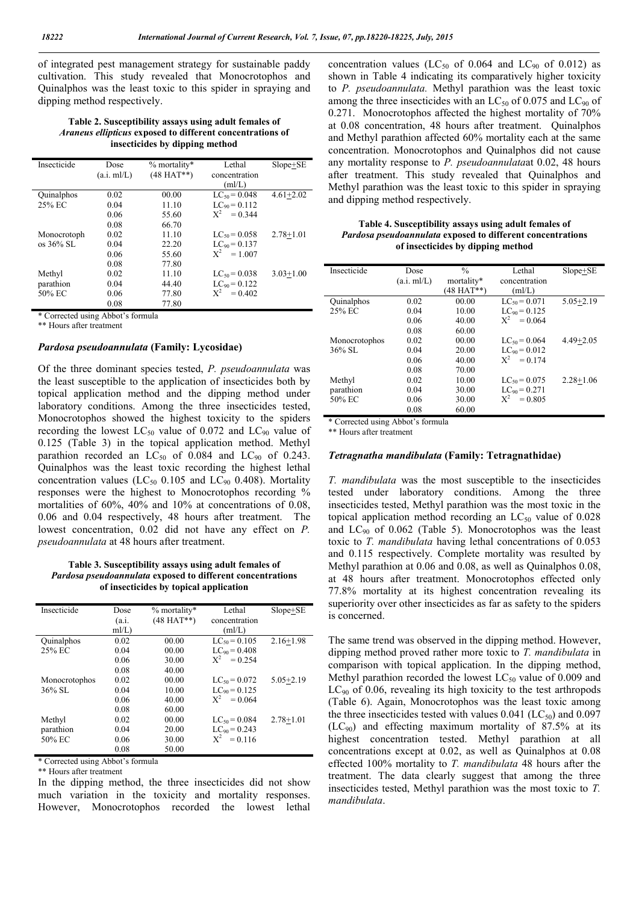of integrated pest management strategy for sustainable paddy cultivation. This study revealed that Monocrotophos and Quinalphos was the least toxic to this spider in spraying and dipping method respectively.

Table 2. Susceptibility assays using adult females of *Araneus ellipticus* exposed to different concentrations of insecticides by dipping method

| Insecticide            | Dose        | $%$ mortality* | Lethal             | $Slope + SE$  |
|------------------------|-------------|----------------|--------------------|---------------|
|                        | (a.i. ml/L) | $(48 HAT**)$   | concentration      |               |
|                        |             |                | (mI/L)             |               |
| Quinalphos             | 0.02        | 00.00          | $LC_{50} = 0.048$  | $4.61 + 2.02$ |
| 25% EC                 | 0.04        | 11.10          | $LC_{90} = 0.112$  |               |
|                        | 0.06        | 55.60          | $X^2 = 0.344$      |               |
|                        | 0.08        | 66.70          |                    |               |
| Monocrotoph            | 0.02        | 11.10          | $LC_{50} = 0.058$  | $2.78 + 1.01$ |
| $\cos 36\% \text{ SL}$ | 0.04        | 22.20          | $LC_{90} = 0.137$  |               |
|                        | 0.06        | 55.60          | $X^2$<br>$= 1.007$ |               |
|                        | 0.08        | 77.80          |                    |               |
| Methyl                 | 0.02        | 11.10          | $LC_{50} = 0.038$  | $3.03 + 1.00$ |
| parathion              | 0.04        | 44.40          | $LC_{90} = 0.122$  |               |
| 50% EC                 | 0.06        | 77.80          | $X^2$<br>$= 0.402$ |               |
|                        | 0.08        | 77.80          |                    |               |

\* Corrected using Abbot's formula

\*\* Hours after treatment

#### *Pardosa pseudoannulata* (Family: Lycosidae)

Of the three dominant species tested, *P. pseudoannulata* was the least susceptible to the application of insecticides both by topical application method and the dipping method under laboratory conditions. Among the three insecticides tested, Monocrotophos showed the highest toxicity to the spiders recording the lowest  $LC_{50}$  value of 0.072 and  $LC_{90}$  value of 0.125 (Table 3) in the topical application method. Methyl parathion recorded an  $LC_{50}$  of 0.084 and  $LC_{90}$  of 0.243. Quinalphos was the least toxic recording the highest lethal concentration values ( $LC_{50}$  0.105 and  $LC_{90}$  0.408). Mortality responses were the highest to Monocrotophos recording % mortalities of 60%, 40% and 10% at concentrations of 0.08, 0.06 and 0.04 respectively, 48 hours after treatment. The lowest concentration, 0.02 did not have any effect on *P. pseudoannulata* at 48 hours after treatment.

Table 3. Susceptibility assays using adult females of *Pardosa pseudoannulata* exposed to different concentrations of insecticides by topical application

| Insecticide   | Dose    | $%$ mortality* | Lethal             | $Slope + SE$  |
|---------------|---------|----------------|--------------------|---------------|
|               | (a.i.   | $(48 HAT**)$   | concentration      |               |
|               | $m/L$ ) |                | (mI/L)             |               |
| Quinalphos    | 0.02    | 00.00          | $LC_{50} = 0.105$  | $2.16 + 1.98$ |
| 25% EC        | 0.04    | 00.00          | $LC_{90} = 0.408$  |               |
|               | 0.06    | 30.00          | $X^2$<br>$= 0.254$ |               |
|               | 0.08    | 40.00          |                    |               |
| Monocrotophos | 0.02    | 00.00          | $LC_{50} = 0.072$  | $5.05 + 2.19$ |
| $36\%$ SL     | 0.04    | 10.00          | $LC_{90} = 0.125$  |               |
|               | 0.06    | 40.00          | $X^2$<br>$= 0.064$ |               |
|               | 0.08    | 60.00          |                    |               |
| Methyl        | 0.02    | 00.00          | $LC_{50} = 0.084$  | $2.78 + 1.01$ |
| parathion     | 0.04    | 20.00          | $LC_{90} = 0.243$  |               |
| 50% EC        | 0.06    | 30.00          | $X^2 = 0.116$      |               |
|               | 0.08    | 50.00          |                    |               |

\* Corrected using Abbot's formula

\*\* Hours after treatment

In the dipping method, the three insecticides did not show much variation in the toxicity and mortality responses. However, Monocrotophos recorded the lowest lethal concentration values (LC<sub>50</sub> of 0.064 and LC<sub>90</sub> of 0.012) as shown in Table 4 indicating its comparatively higher toxicity to *P. pseudoannulata.* Methyl parathion was the least toxic among the three insecticides with an  $LC_{50}$  of 0.075 and  $LC_{90}$  of 0.271. Monocrotophos affected the highest mortality of 70% at 0.08 concentration, 48 hours after treatment. Quinalphos and Methyl parathion affected 60% mortality each at the same concentration. Monocrotophos and Quinalphos did not cause any mortality response to *P. pseudoannulata*at 0.02, 48 hours after treatment. This study revealed that Quinalphos and Methyl parathion was the least toxic to this spider in spraying and dipping method respectively.

Table 4. Susceptibility assays using adult females of *Pardosa pseudoannulata* exposed to different concentrations of insecticides by dipping method

| Insecticide   | Dose        | $\frac{0}{0}$ | Lethal             | $Slope + SE$  |
|---------------|-------------|---------------|--------------------|---------------|
|               | (a.i. ml/L) | mortality*    | concentration      |               |
|               |             | (48 HAT**)    | (mI/L)             |               |
| Quinalphos    | 0.02        | 00.00         | $LC_{50} = 0.071$  | $5.05 + 2.19$ |
| 25% EC        | 0.04        | 10.00         | $LC_{90} = 0.125$  |               |
|               | 0.06        | 40.00         | $X^2$<br>$= 0.064$ |               |
|               | 0.08        | 60.00         |                    |               |
| Monocrotophos | 0.02        | 00.00         | $LC_{50} = 0.064$  | $4.49 + 2.05$ |
| $36\%$ SL     | 0.04        | 20.00         | $LC_{90} = 0.012$  |               |
|               | 0.06        | 40.00         | $X^2 = 0.174$      |               |
|               | 0.08        | 70.00         |                    |               |
| Methyl        | 0.02        | 10.00         | $LC_{50} = 0.075$  | $2.28 + 1.06$ |
| parathion     | 0.04        | 30.00         | $LC_{90} = 0.271$  |               |
| 50% EC        | 0.06        | 30.00         | $X^2$<br>$= 0.805$ |               |
|               | 0.08        | 60.00         |                    |               |

\* Corrected using Abbot's formula

\*\* Hours after treatment

#### *Tetragnatha mandibulata* (Family: Tetragnathidae)

*T. mandibulata* was the most susceptible to the insecticides tested under laboratory conditions. Among the three insecticides tested, Methyl parathion was the most toxic in the topical application method recording an  $LC_{50}$  value of 0.028 and  $LC_{90}$  of 0.062 (Table 5). Monocrotophos was the least toxic to *T. mandibulata* having lethal concentrations of 0.053 and 0.115 respectively. Complete mortality was resulted by Methyl parathion at 0.06 and 0.08, as well as Quinalphos 0.08, at 48 hours after treatment. Monocrotophos effected only 77.8% mortality at its highest concentration revealing its superiority over other insecticides as far as safety to the spiders is concerned.

The same trend was observed in the dipping method. However, dipping method proved rather more toxic to *T. mandibulata* in comparison with topical application. In the dipping method, Methyl parathion recorded the lowest  $LC_{50}$  value of 0.009 and  $LC_{90}$  of 0.06, revealing its high toxicity to the test arthropods (Table 6). Again, Monocrotophos was the least toxic among the three insecticides tested with values  $0.041$  (LC<sub>50</sub>) and  $0.097$  $(LC_{90})$  and effecting maximum mortality of 87.5% at its highest concentration tested. Methyl parathion at all concentrations except at 0.02, as well as Quinalphos at 0.08 effected 100% mortality to *T. mandibulata* 48 hours after the treatment. The data clearly suggest that among the three insecticides tested, Methyl parathion was the most toxic to *T. mandibulata*.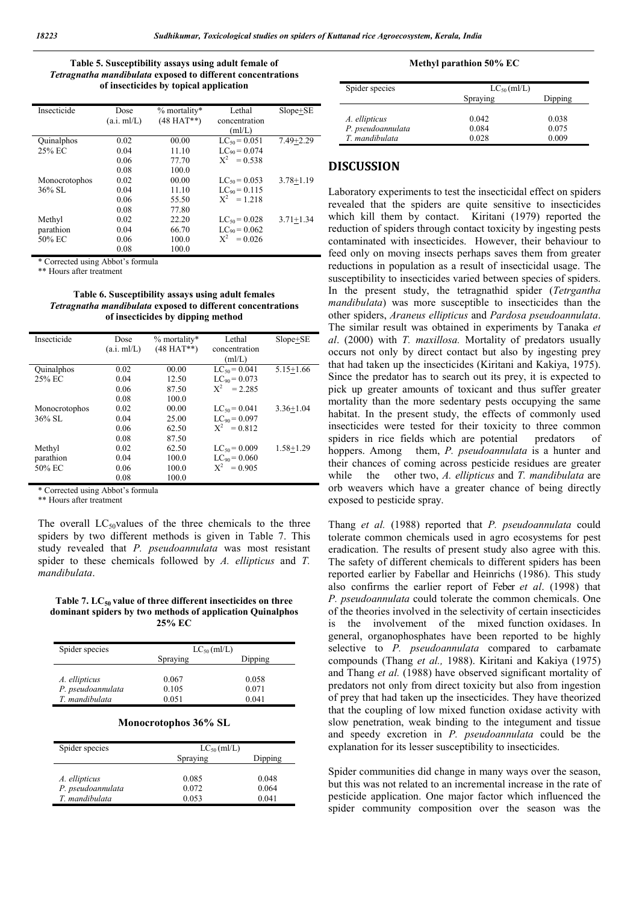### Table 5. Susceptibility assays using adult female of *Tetragnatha mandibulata* exposed to different concentrations of insecticides by topical application

| Insecticide   | Dose        | $%$ mortality* | Lethal            | $Slope + SE$  |
|---------------|-------------|----------------|-------------------|---------------|
|               | (a.i. ml/L) | $(48 HAT**)$   | concentration     |               |
|               |             |                | (mI/L)            |               |
| Quinalphos    | 0.02        | 00.00          | $LC_{50} = 0.051$ | $7.49 + 2.29$ |
| 25% EC        | 0.04        | 11.10          | $LC_{90} = 0.074$ |               |
|               | 0.06        | 77.70          | $X^2 = 0.538$     |               |
|               | 0.08        | 100.0          |                   |               |
| Monocrotophos | 0.02        | 00.00          | $LC_{50} = 0.053$ | $3.78 + 1.19$ |
| 36% SL        | 0.04        | 11.10          | $LC_{90} = 0.115$ |               |
|               | 0.06        | 55.50          | $X^2 = 1.218$     |               |
|               | 0.08        | 77.80          |                   |               |
| Methyl        | 0.02        | 22.20          | $LC_{50} = 0.028$ | $3.71 + 1.34$ |
| parathion     | 0.04        | 66.70          | $LC_{90} = 0.062$ |               |
| 50% EC        | 0.06        | 100.0          | $X^2 = 0.026$     |               |
|               | 0.08        | 100.0          |                   |               |

\* Corrected using Abbot's formula

\*\* Hours after treatment

Table 6. Susceptibility assays using adult females *Tetragnatha mandibulata* exposed to different concentrations of insecticides by dipping method

| Insecticide       | Dose        | $%$ mortality* | Lethal            | $Slope + SE$  |
|-------------------|-------------|----------------|-------------------|---------------|
|                   | (a.i. ml/L) | $(48 HAT**)$   | concentration     |               |
|                   |             |                | (mI/L)            |               |
| <b>Quinalphos</b> | 0.02        | 00.00          | $LC_{50} = 0.041$ | $5.15 + 1.66$ |
| 25% EC            | 0.04        | 12.50          | $LC_{90} = 0.073$ |               |
|                   | 0.06        | 87.50          | $X^2 = 2.285$     |               |
|                   | 0.08        | 100.0          |                   |               |
| Monocrotophos     | 0.02        | 00.00          | $LC_{50} = 0.041$ | $3.36 + 1.04$ |
| $36\%$ SL         | 0.04        | 25.00          | $LC_{90} = 0.097$ |               |
|                   | 0.06        | 62.50          | $X^2 = 0.812$     |               |
|                   | 0.08        | 87.50          |                   |               |
| Methyl            | 0.02        | 62.50          | $LC_{50} = 0.009$ | $1.58 + 1.29$ |
| parathion         | 0.04        | 100.0          | $LC_{90} = 0.060$ |               |
| 50% EC            | 0.06        | 100.0          | $X^2 = 0.905$     |               |
|                   | 0.08        | 100.0          |                   |               |

\* Corrected using Abbot's formula

\*\* Hours after treatment

The overall  $LC_{50}$ values of the three chemicals to the three spiders by two different methods is given in Table 7. This study revealed that *P. pseudoannulata* was most resistant spider to these chemicals followed by *A. ellipticus* and *T. mandibulata*.

#### Table 7. LC $_{50}$  value of three different insecticides on three dominant spiders by two methods of application Quinalphos 25% EC

| Spider species    | $LC_{50}$ (ml/L) |         |
|-------------------|------------------|---------|
|                   | Spraying         | Dipping |
|                   |                  |         |
| A. ellipticus     | 0.067            | 0.058   |
| P. pseudoannulata | 0.105            | 0.071   |
| T. mandibulata    | 0.051            | 0.041   |

### Monocrotophos 36% SL

| Spider species    | $LC_{50}$ (ml/L) |         |
|-------------------|------------------|---------|
|                   | Spraying         | Dipping |
|                   |                  |         |
| A. ellipticus     | 0.085            | 0.048   |
| P. pseudoannulata | 0.072            | 0.064   |
| T. mandibulata    | 0.053            | 0.041   |

#### Methyl parathion 50% EC

| Spider species    | $LC_{50}$ (ml/L) |         |
|-------------------|------------------|---------|
|                   | Spraying         | Dipping |
|                   |                  |         |
| A. ellipticus     | 0.042            | 0.038   |
| P. pseudoannulata | 0.084            | 0.075   |
| T. mandibulata    | 0.028            | 0.009   |

## DISCUSSION

Laboratory experiments to test the insecticidal effect on spiders revealed that the spiders are quite sensitive to insecticides which kill them by contact. Kiritani (1979) reported the reduction of spiders through contact toxicity by ingesting pests contaminated with insecticides. However, their behaviour to feed only on moving insects perhaps saves them from greater reductions in population as a result of insecticidal usage. The susceptibility to insecticides varied between species of spiders. In the present study, the tetragnathid spider (*Tetrgantha mandibulata*) was more susceptible to insecticides than the other spiders, *Araneus ellipticus* and *Pardosa pseudoannulata*. The similar result was obtained in experiments by Tanaka *et al*. (2000) with *T. maxillosa.* Mortality of predators usually occurs not only by direct contact but also by ingesting prey that had taken up the insecticides (Kiritani and Kakiya, 1975). Since the predator has to search out its prey, it is expected to pick up greater amounts of toxicant and thus suffer greater mortality than the more sedentary pests occupying the same habitat. In the present study, the effects of commonly used insecticides were tested for their toxicity to three common spiders in rice fields which are potential predators of hoppers. Among them, *P. pseudoannulata* is a hunter and their chances of coming across pesticide residues are greater while the other two, *A. ellipticus* and *T. mandibulata* are orb weavers which have a greater chance of being directly exposed to pesticide spray.

Thang *et al.* (1988) reported that *P. pseudoannulata* could tolerate common chemicals used in agro ecosystems for pest eradication. The results of present study also agree with this. The safety of different chemicals to different spiders has been reported earlier by Fabellar and Heinrichs (1986). This study also confirms the earlier report of Feber *et al*. (1998) that *P. pseudoannulata* could tolerate the common chemicals. One of the theories involved in the selectivity of certain insecticides is the involvement of the mixed function oxidases. In general, organophosphates have been reported to be highly selective to *P. pseudoannulata* compared to carbamate compounds (Thang *et al.,* 1988). Kiritani and Kakiya (1975) and Thang *et al.* (1988) have observed significant mortality of predators not only from direct toxicity but also from ingestion of prey that had taken up the insecticides. They have theorized that the coupling of low mixed function oxidase activity with slow penetration, weak binding to the integument and tissue and speedy excretion in *P. pseudoannulata* could be the explanation for its lesser susceptibility to insecticides.

Spider communities did change in many ways over the season, but this was not related to an incremental increase in the rate of pesticide application. One major factor which influenced the spider community composition over the season was the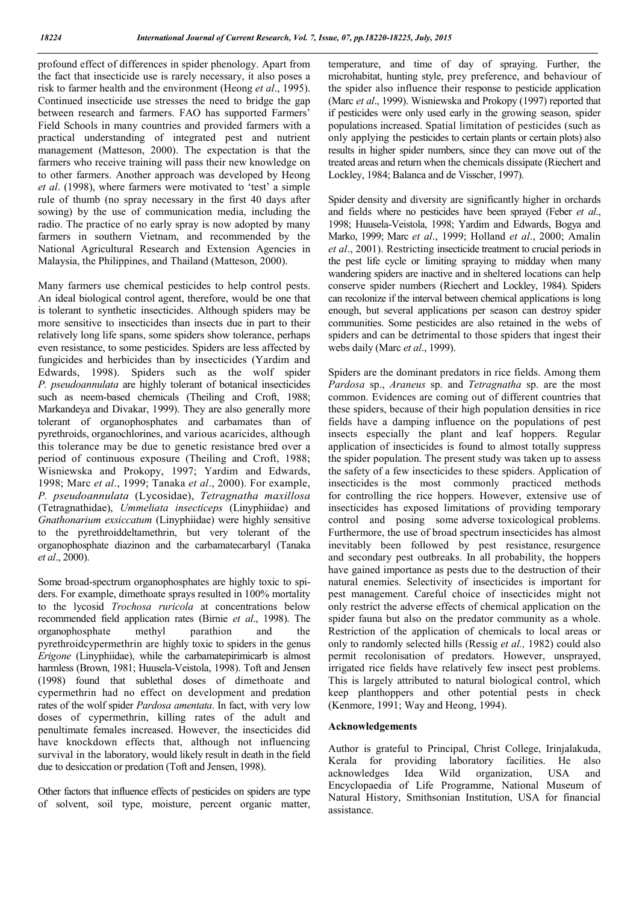profound effect of differences in spider phenology. Apart from the fact that insecticide use is rarely necessary, it also poses a risk to farmer health and the environment (Heong *et al*., 1995). Continued insecticide use stresses the need to bridge the gap between research and farmers. FAO has supported Farmers' Field Schools in many countries and provided farmers with a practical understanding of integrated pest and nutrient management (Matteson, 2000). The expectation is that the farmers who receive training will pass their new knowledge on to other farmers. Another approach was developed by Heong *et al*. (1998), where farmers were motivated to 'test' a simple rule of thumb (no spray necessary in the first 40 days after sowing) by the use of communication media, including the radio. The practice of no early spray is now adopted by many farmers in southern Vietnam, and recommended by the National Agricultural Research and Extension Agencies in Malaysia, the Philippines, and Thailand (Matteson, 2000).

Many farmers use chemical pesticides to help control pests. An ideal biological control agent, therefore, would be one that is tolerant to synthetic insecticides. Although spiders may be more sensitive to insecticides than insects due in part to their relatively long life spans, some spiders show tolerance, perhaps even resistance, to some pesticides. Spiders are less affected by fungicides and herbicides than by insecticides (Yardim and Edwards, 1998). Spiders such as the wolf spider *P. pseudoannulata* are highly tolerant of botanical insecticides such as neem-based chemicals (Theiling and Croft, 1988; Markandeya and Divakar, 1999). They are also generally more tolerant of organophosphates and carbamates than of pyrethroids, organochlorines, and various acaricides, although this tolerance may be due to genetic resistance bred over a period of continuous exposure (Theiling and Croft, 1988; Wisniewska and Prokopy, 1997; Yardim and Edwards, 1998; Marc *et al*., 1999; Tanaka *et al*., 2000). For example, *P. pseudoannulata* (Lycosidae), *Tetragnatha maxillosa* (Tetragnathidae), *Ummeliata insecticeps* (Linyphiidae) and *Gnathonarium exsiccatum* (Linyphiidae) were highly sensitive to the pyrethroiddeltamethrin, but very tolerant of the organophosphate diazinon and the carbamatecarbaryl (Tanaka *et al*., 2000).

Some broad-spectrum organophosphates are highly toxic to spiders. For example, dimethoate sprays resulted in 100% mortality to the lycosid *Trochosa ruricola* at concentrations below recommended field application rates (Birnie *et al*., 1998). The organophosphate methyl parathion and the pyrethroidcypermethrin are highly toxic to spiders in the genus *Erigone* (Linyphiidae), while the carbamatepirimicarb is almost harmless (Brown, 1981; Huusela-Veistola, 1998). Toft and Jensen (1998) found that sublethal doses of dimethoate and cypermethrin had no effect on development and predation rates of the wolf spider *Pardosa amentata*. In fact, with very low doses of cypermethrin, killing rates of the adult and penultimate females increased. However, the insecticides did have knockdown effects that, although not influencing survival in the laboratory, would likely result in death in the field due to desiccation or predation (Toft and Jensen, 1998).

Other factors that influence effects of pesticides on spiders are type of solvent, soil type, moisture, percent organic matter,

temperature, and time of day of spraying. Further, the microhabitat, hunting style, prey preference, and behaviour of the spider also influence their response to pesticide application (Marc *et al*., 1999). Wisniewska and Prokopy (1997) reported that if pesticides were only used early in the growing season, spider populations increased. Spatial limitation of pesticides (such as only applying the pesticides to certain plants or certain plots) also results in higher spider numbers, since they can move out of the treated areas and return when the chemicals dissipate (Riechert and Lockley, 1984; Balanca and de Visscher, 1997).

Spider density and diversity are significantly higher in orchards and fields where no pesticides have been sprayed (Feber *et al*., 1998; Huusela-Veistola, 1998; Yardim and Edwards, Bogya and Marko, 1999; Marc *et al*., 1999; Holland *et al*., 2000; Amalin *et al*., 2001). Restricting insecticide treatment to crucial periods in the pest life cycle or limiting spraying to midday when many wandering spiders are inactive and in sheltered locations can help conserve spider numbers (Riechert and Lockley, 1984). Spiders can recolonize if the interval between chemical applications is long enough, but several applications per season can destroy spider communities. Some pesticides are also retained in the webs of spiders and can be detrimental to those spiders that ingest their webs daily (Marc *et al*., 1999).

Spiders are the dominant predators in rice fields. Among them *Pardosa* sp., *Araneus* sp. and *Tetragnatha* sp. are the most common. Evidences are coming out of different countries that these spiders, because of their high population densities in rice fields have a damping influence on the populations of pest insects especially the plant and leaf hoppers. Regular application of insecticides is found to almost totally suppress the spider population. The present study was taken up to assess the safety of a few insecticides to these spiders. Application of insecticides is the most commonly practiced methods for controlling the rice hoppers. However, extensive use of insecticides has exposed limitations of providing temporary control and posing some adverse toxicological problems. Furthermore, the use of broad spectrum insecticides has almost inevitably been followed by pest resistance, resurgence and secondary pest outbreaks. In all probability, the hoppers have gained importance as pests due to the destruction of their natural enemies. Selectivity of insecticides is important for pest management. Careful choice of insecticides might not only restrict the adverse effects of chemical application on the spider fauna but also on the predator community as a whole. Restriction of the application of chemicals to local areas or only to randomly selected hills (Ressig *et al.,* 1982) could also permit recolonisation of predators. However, unsprayed, irrigated rice fields have relatively few insect pest problems. This is largely attributed to natural biological control, which keep planthoppers and other potential pests in check (Kenmore, 1991; Way and Heong, 1994).

### Acknowledgements

Author is grateful to Principal, Christ College, Irinjalakuda, Kerala for providing laboratory facilities. He also acknowledges Idea Wild organization, USA and Encyclopaedia of Life Programme, National Museum of Natural History, Smithsonian Institution, USA for financial assistance.